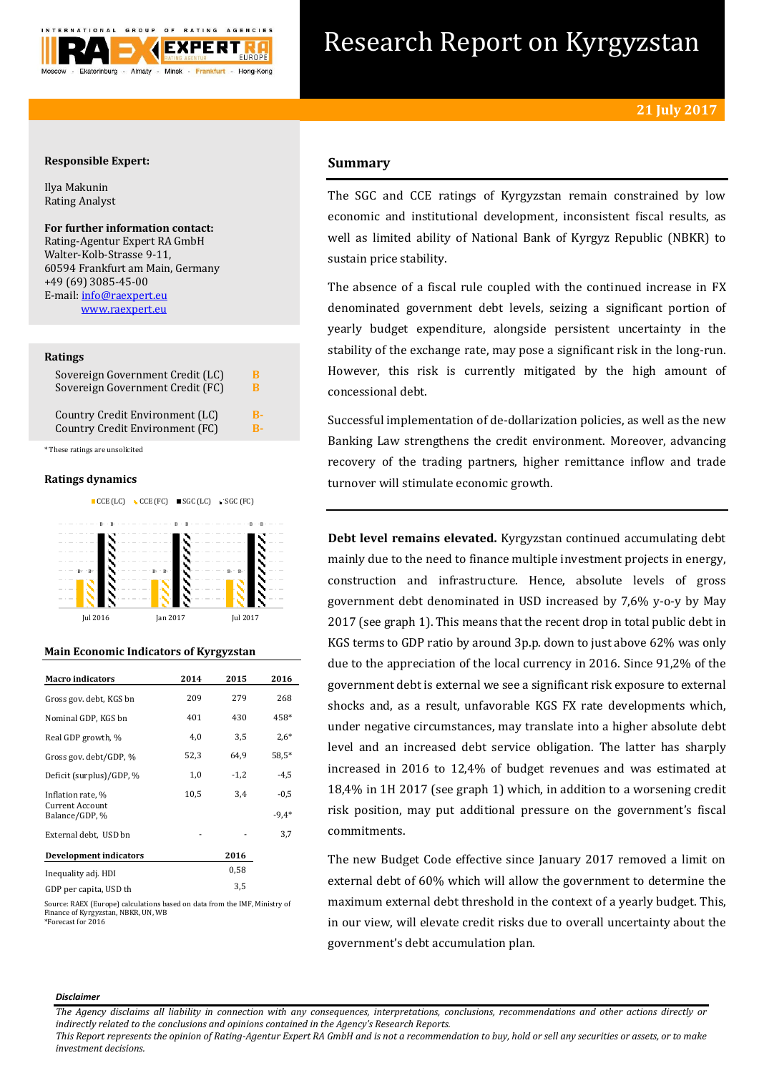

# Research Report on Kyrgyzstan

# **Responsible Expert:**

Ilya Makunin Rating Analyst

# **For further information contact:** Rating-Agentur Expert RA GmbH

Walter-Kolb-Strasse 9-11, 60594 Frankfurt am Main, Germany +49 (69) 3085-45-00 E-mail[: info@raexpert.eu](mailto:info@raexpert.eu) [www.raexpert.eu](http://raexpert.eu/)

## **Ratings**

| Sovereign Government Credit (LC) | в  |
|----------------------------------|----|
| Sovereign Government Credit (FC) | B  |
| Country Credit Environment (LC)  | R- |
| Country Credit Environment (FC)  | R- |

\* These ratings are unsolicited

# **Ratings dynamics**





# **Main Economic Indicators of Kyrgyzstan**

| <b>Macro indicators</b>                  | 2014 | 2015   | 2016    |
|------------------------------------------|------|--------|---------|
| Gross gov. debt, KGS bn                  | 209  | 279    | 268     |
| Nominal GDP, KGS bn                      | 401  | 430    | 458*    |
| Real GDP growth, %                       | 4,0  | 3,5    | $2,6*$  |
| Gross gov. debt/GDP, %                   | 52,3 | 64,9   | $58,5*$ |
| Deficit (surplus)/GDP, %                 | 1,0  | $-1,2$ | $-4,5$  |
| Inflation rate, %                        | 10,5 | 3,4    | $-0.5$  |
| <b>Current Account</b><br>Balance/GDP, % |      |        | $-9,4*$ |
| External debt, USD bn                    |      |        | 3,7     |
| Development indicators                   |      | 2016   |         |
| Inequality adj. HDI                      |      | 0,58   |         |
| GDP per capita, USD th                   |      | 3,5    |         |

Source: RAEX (Europe) calculations based on data from the IMF, Ministry of Finance of Kyrgyzstan, NBKR, UN, WB \*Forecast for 2016

# **Summary**

The SGC and CCE ratings of Kyrgyzstan remain constrained by low economic and institutional development, inconsistent fiscal results, as well as limited ability of National Bank of Kyrgyz Republic (NBKR) to sustain price stability.

The absence of a fiscal rule coupled with the continued increase in FX denominated government debt levels, seizing a significant portion of yearly budget expenditure, alongside persistent uncertainty in the stability of the exchange rate, may pose a significant risk in the long-run. However, this risk is currently mitigated by the high amount of concessional debt.

Successful implementation of de-dollarization policies, as well as the new Banking Law strengthens the credit environment. Moreover, advancing recovery of the trading partners, higher remittance inflow and trade turnover will stimulate economic growth.

**Debt level remains elevated.** Kyrgyzstan continued accumulating debt mainly due to the need to finance multiple investment projects in energy, construction and infrastructure. Hence, absolute levels of gross government debt denominated in USD increased by 7,6% y-o-y by May 2017 (see graph 1). This means that the recent drop in total public debt in KGS terms to GDP ratio by around 3p.p. down to just above 62% was only due to the appreciation of the local currency in 2016. Since 91,2% of the government debt is external we see a significant risk exposure to external shocks and, as a result, unfavorable KGS FX rate developments which, under negative circumstances, may translate into a higher absolute debt level and an increased debt service obligation. The latter has sharply increased in 2016 to 12,4% of budget revenues and was estimated at 18,4% in 1H 2017 (see graph 1) which, in addition to a worsening credit risk position, may put additional pressure on the government's fiscal commitments.

The new Budget Code effective since January 2017 removed a limit on external debt of 60% which will allow the government to determine the maximum external debt threshold in the context of a yearly budget. This, in our view, will elevate credit risks due to overall uncertainty about the government's debt accumulation plan.

#### *Disclaimer*

*The Agency disclaims all liability in connection with any consequences, interpretations, conclusions, recommendations and other actions directly or indirectly related to the conclusions and opinions contained in the Agency's Research Reports.*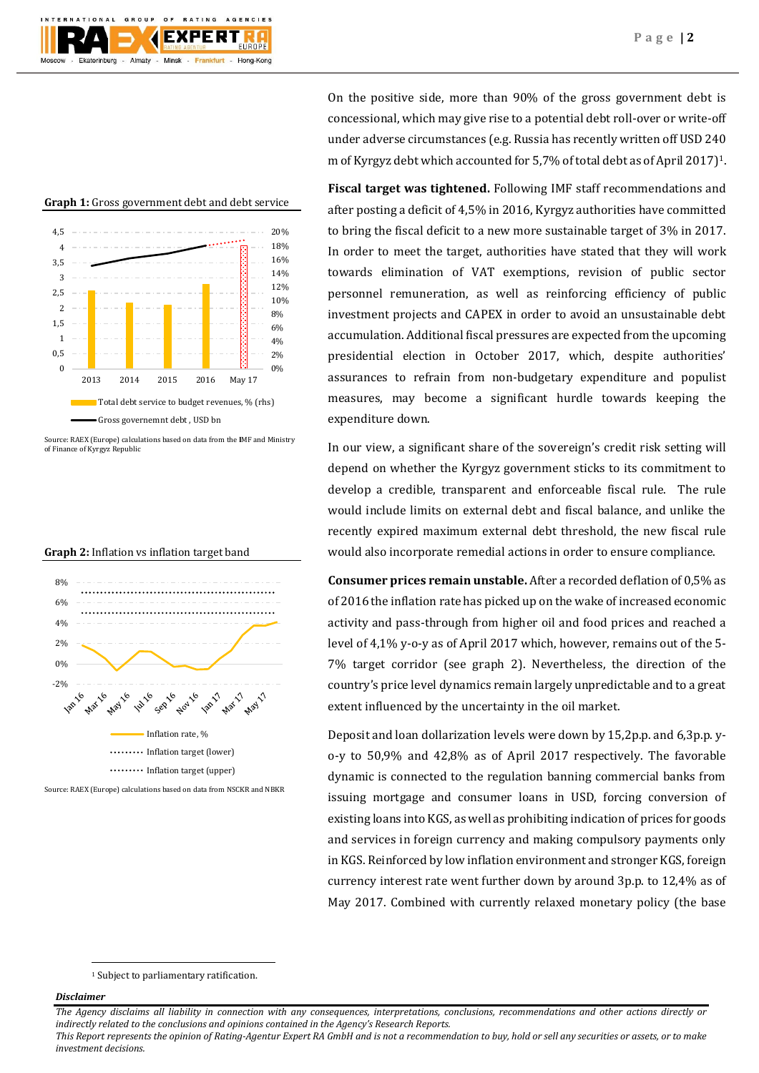

On the positive side, more than 90% of the gross government debt is concessional, which may give rise to a potential debt roll-over or write-off under adverse circumstances (e.g. Russia has recently written off USD 240 m of Kyrgyz debt which accounted for 5,7% of total debt as of April 2017)1.

**Fiscal target was tightened.** Following IMF staff recommendations and after posting a deficit of 4,5% in 2016, Kyrgyz authorities have committed to bring the fiscal deficit to a new more sustainable target of 3% in 2017. In order to meet the target, authorities have stated that they will work towards elimination of VAT exemptions, revision of public sector personnel remuneration, as well as reinforcing efficiency of public investment projects and CAPEX in order to avoid an unsustainable debt accumulation. Additional fiscal pressures are expected from the upcoming presidential election in October 2017, which, despite authorities' assurances to refrain from non-budgetary expenditure and populist measures, may become a significant hurdle towards keeping the expenditure down.

In our view, a significant share of the sovereign's credit risk setting will depend on whether the Kyrgyz government sticks to its commitment to develop a credible, transparent and enforceable fiscal rule. The rule would include limits on external debt and fiscal balance, and unlike the recently expired maximum external debt threshold, the new fiscal rule would also incorporate remedial actions in order to ensure compliance.

**Consumer prices remain unstable.** After a recorded deflation of 0,5% as of 2016 the inflation rate has picked up on the wake of increased economic activity and pass-through from higher oil and food prices and reached a level of 4,1% y-o-y as of April 2017 which, however, remains out of the 5- 7% target corridor (see graph 2). Nevertheless, the direction of the country's price level dynamics remain largely unpredictable and to a great extent influenced by the uncertainty in the oil market.

Deposit and loan dollarization levels were down by 15,2p.p. and 6,3p.p. yo-y to 50,9% and 42,8% as of April 2017 respectively. The favorable dynamic is connected to the regulation banning commercial banks from issuing mortgage and consumer loans in USD, forcing conversion of existing loans into KGS, as well as prohibiting indication of prices for goods and services in foreign currency and making compulsory payments only in KGS. Reinforced by low inflation environment and stronger KGS, foreign currency interest rate went further down by around 3p.p. to 12,4% as of May 2017. Combined with currently relaxed monetary policy (the base





Source: RAEX (Europe) calculations based on data from the **I**MF and Ministry of Finance of Kyrgyz Republic





Source: RAEX (Europe) calculations based on data from NSCKR and NBKR

# *Disclaimer*

1

*The Agency disclaims all liability in connection with any consequences, interpretations, conclusions, recommendations and other actions directly or indirectly related to the conclusions and opinions contained in the Agency's Research Reports.*

<sup>&</sup>lt;sup>1</sup> Subject to parliamentary ratification.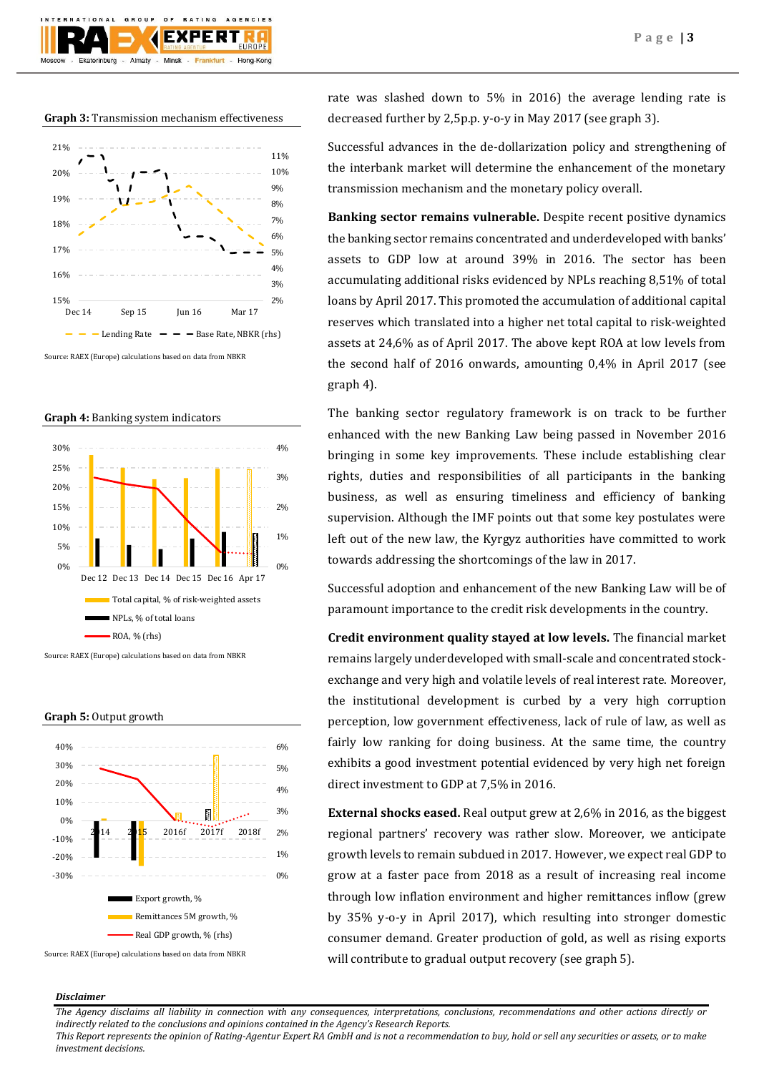**Graph 3:** Transmission mechanism effectiveness

 $O F$ 

Minsk -

FXPFRT

Frankfurt -

GROUP

Almaty -

Ekaterinburg

AGENCIES

Hong-Kong



Source: RAEX (Europe) calculations based on data from NBKR

**Graph 4:** Banking system indicators



**Graph 5:** Output growth



Source: RAEX (Europe) calculations based on data from NBKR

rate was slashed down to 5% in 2016) the average lending rate is decreased further by 2,5p.p. y-o-y in May 2017 (see graph 3).

Successful advances in the de-dollarization policy and strengthening of the interbank market will determine the enhancement of the monetary transmission mechanism and the monetary policy overall.

**Banking sector remains vulnerable.** Despite recent positive dynamics the banking sector remains concentrated and underdeveloped with banks' assets to GDP low at around 39% in 2016. The sector has been accumulating additional risks evidenced by NPLs reaching 8,51% of total loans by April 2017. This promoted the accumulation of additional capital reserves which translated into a higher net total capital to risk-weighted assets at 24,6% as of April 2017. The above kept ROA at low levels from the second half of 2016 onwards, amounting 0,4% in April 2017 (see graph 4).

The banking sector regulatory framework is on track to be further enhanced with the new Banking Law being passed in November 2016 bringing in some key improvements. These include establishing clear rights, duties and responsibilities of all participants in the banking business, as well as ensuring timeliness and efficiency of banking supervision. Although the IMF points out that some key postulates were left out of the new law, the Kyrgyz authorities have committed to work towards addressing the shortcomings of the law in 2017.

Successful adoption and enhancement of the new Banking Law will be of paramount importance to the credit risk developments in the country.

**Credit environment quality stayed at low levels.** The financial market remains largely underdeveloped with small-scale and concentrated stockexchange and very high and volatile levels of real interest rate. Moreover, the institutional development is curbed by a very high corruption perception, low government effectiveness, lack of rule of law, as well as fairly low ranking for doing business. At the same time, the country exhibits a good investment potential evidenced by very high net foreign direct investment to GDP at 7,5% in 2016.

**External shocks eased.** Real output grew at 2,6% in 2016, as the biggest regional partners' recovery was rather slow. Moreover, we anticipate growth levels to remain subdued in 2017. However, we expect real GDP to grow at a faster pace from 2018 as a result of increasing real income through low inflation environment and higher remittances inflow (grew by 35% y-o-y in April 2017), which resulting into stronger domestic consumer demand. Greater production of gold, as well as rising exports will contribute to gradual output recovery (see graph 5).

# *Disclaimer*

*The Agency disclaims all liability in connection with any consequences, interpretations, conclusions, recommendations and other actions directly or indirectly related to the conclusions and opinions contained in the Agency's Research Reports.*